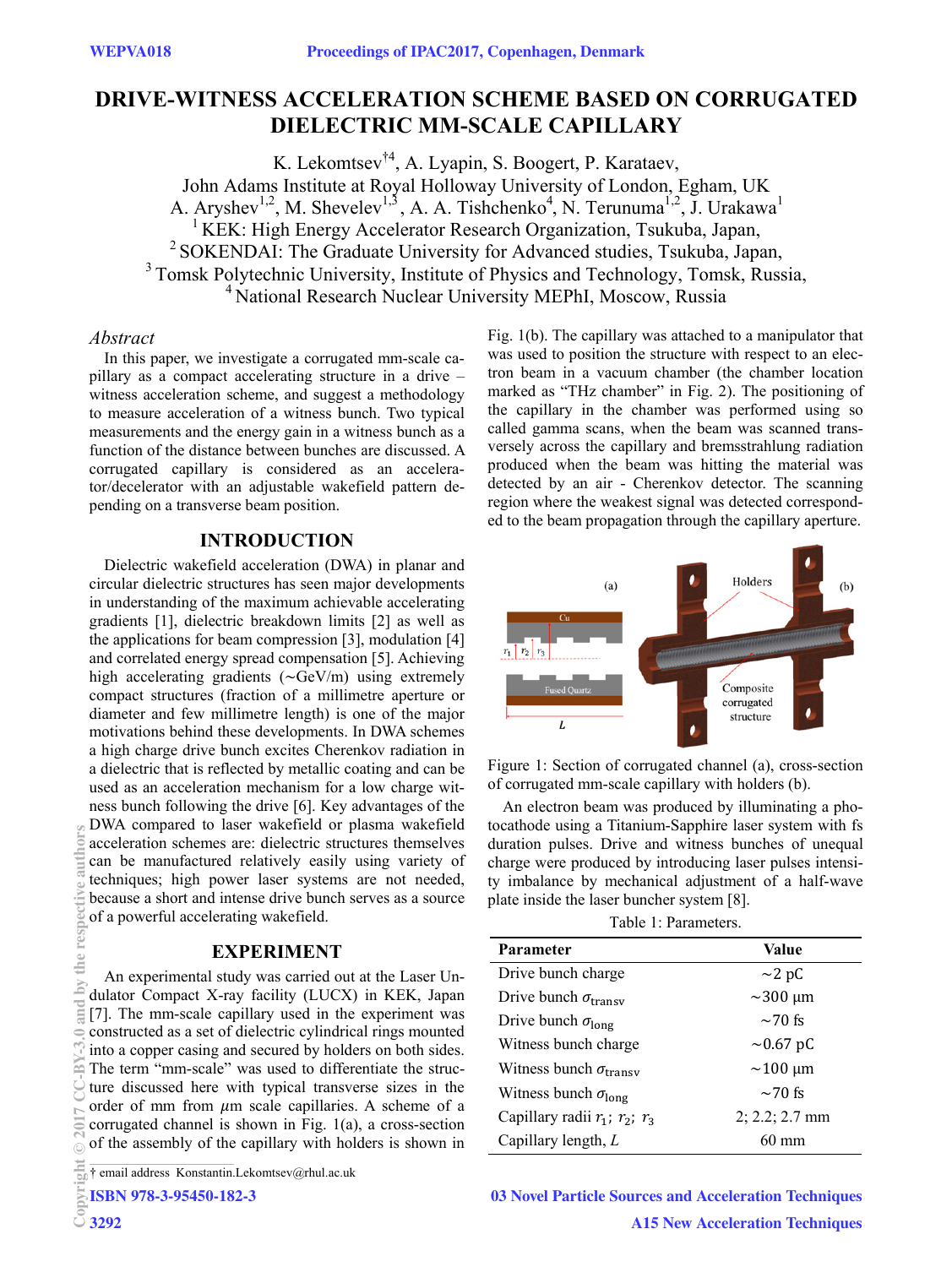# **DRIVE-WITNESS ACCELERATION SCHEME BASED ON CORRUGATED DIELECTRIC MM-SCALE CAPILLARY**

K. Lekomtsev<sup>†4</sup>, A. Lyapin, S. Boogert, P. Karataev, John Adams Institute at Royal Holloway University of London, Egham, UK A. Aryshev<sup>1,2</sup>, M. Shevelev<sup>1,3</sup>, A. A. Tishchenko<sup>4</sup>, N. Terunuma<sup>1,2</sup>, J. Urakawa<sup>1</sup>  $1$  KEK: High Energy Accelerator Research Organization, Tsukuba, Japan, <sup>2</sup> SOKENDAI: The Graduate University for Advanced studies, Tsukuba, Japan, <sup>3</sup> Tomsk Polytechnic University, Institute of Physics and Technology, Tomsk, Russia, <sup>4</sup> National Research Nuclear University MEPhI, Moscow, Russia

### *Abstract*

In this paper, we investigate a corrugated mm-scale capillary as a compact accelerating structure in a drive – witness acceleration scheme, and suggest a methodology to measure acceleration of a witness bunch. Two typical measurements and the energy gain in a witness bunch as a function of the distance between bunches are discussed. A corrugated capillary is considered as an accelerator/decelerator with an adjustable wakefield pattern depending on a transverse beam position.

# **INTRODUCTION**

Dielectric wakefield acceleration (DWA) in planar and circular dielectric structures has seen major developments in understanding of the maximum achievable accelerating gradients [1], dielectric breakdown limits [2] as well as the applications for beam compression [3], modulation [4] and correlated energy spread compensation [5]. Achieving high accelerating gradients  $({\sim}GeV/m)$  using extremely compact structures (fraction of a millimetre aperture or diameter and few millimetre length) is one of the major motivations behind these developments. In DWA schemes a high charge drive bunch excites Cherenkov radiation in a dielectric that is reflected by metallic coating and can be used as an acceleration mechanism for a low charge witness bunch following the drive [6]. Key advantages of the DWA compared to laser wakefield or plasma wakefield acceleration schemes are: dielectric structures themselves can be manufactured relatively easily using variety of techniques; high power laser systems are not needed, because a short and intense drive bunch serves as a source of a powerful accelerating wakefield.

# **EXPERIMENT**

An experimental study was carried out at the Laser Undulator Compact X-ray facility (LUCX) in KEK, Japan [7]. The mm-scale capillary used in the experiment was constructed as a set of dielectric cylindrical rings mounted into a copper casing and secured by holders on both sides. The term "mm-scale" was used to differentiate the structure discussed here with typical transverse sizes in the order of mm from  $\mu$ m scale capillaries. A scheme of a corrugated channel is shown in Fig. 1(a), a cross-section of the assembly of the capillary with holders is shown in

**ISBN 978-3-95450-182-3**

**Copyright 3292**

Fig. 1(b). The capillary was attached to a manipulator that was used to position the structure with respect to an electron beam in a vacuum chamber (the chamber location marked as "THz chamber" in Fig. 2). The positioning of the capillary in the chamber was performed using so called gamma scans, when the beam was scanned transversely across the capillary and bremsstrahlung radiation produced when the beam was hitting the material was detected by an air - Cherenkov detector. The scanning region where the weakest signal was detected corresponded to the beam propagation through the capillary aperture.



Figure 1: Section of corrugated channel (a), cross-section of corrugated mm-scale capillary with holders (b).

An electron beam was produced by illuminating a photocathode using a Titanium-Sapphire laser system with fs duration pulses. Drive and witness bunches of unequal charge were produced by introducing laser pulses intensity imbalance by mechanical adjustment of a half-wave plate inside the laser buncher system [8].

|  | Table 1: Parameters. |
|--|----------------------|
|--|----------------------|

| Parameter                              | Value            |
|----------------------------------------|------------------|
| Drive bunch charge                     | $\sim$ 2 pC      |
| Drive bunch $\sigma_{\text{transv}}$   | $\sim$ 300 µm    |
| Drive bunch $\sigma_{\text{long}}$     | $\sim$ 70 fs     |
| Witness bunch charge                   | $\sim 0.67$ pC   |
| Witness bunch $\sigma_{\text{transv}}$ | $\sim$ 100 µm    |
| Witness bunch $\sigma_{\text{long}}$   | $\sim$ 70 fs     |
| Capillary radii $r_1$ ; $r_2$ ; $r_3$  | $2; 2.2; 2.7$ mm |
| Capillary length, $L$                  | $60 \text{ mm}$  |

**03 Novel Particle Sources and Acceleration Techniques A15 New Acceleration Techniques**

<sup>†</sup> email address Konstantin.Lekomtsev@rhul.ac.uk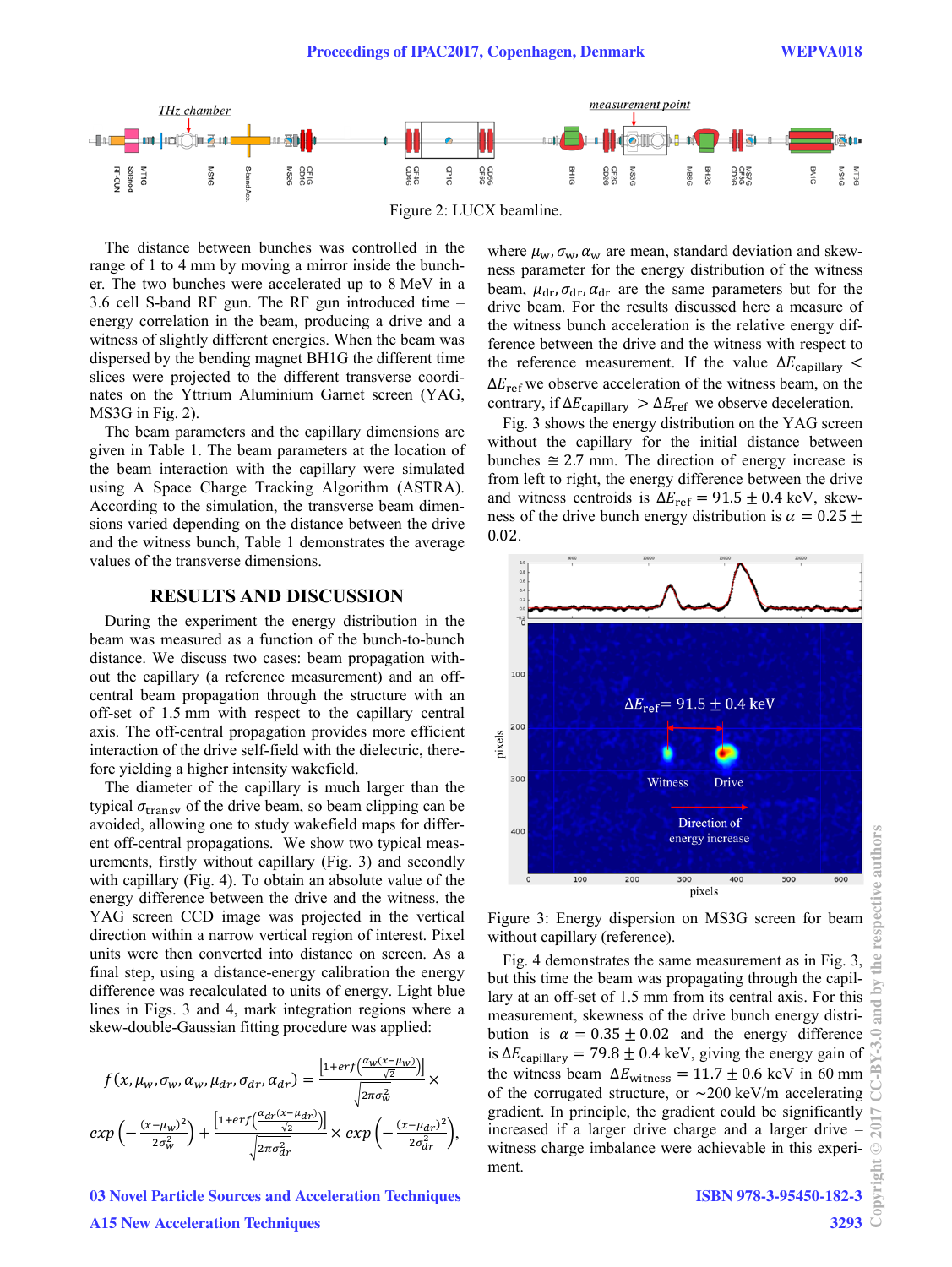

The distance between bunches was controlled in the range of 1 to 4 mm by moving a mirror inside the buncher. The two bunches were accelerated up to 8 MeV in a 3.6 cell S-band RF gun. The RF gun introduced time – energy correlation in the beam, producing a drive and a witness of slightly different energies. When the beam was dispersed by the bending magnet BH1G the different time slices were projected to the different transverse coordinates on the Yttrium Aluminium Garnet screen (YAG, MS3G in Fig. 2).

The beam parameters and the capillary dimensions are given in Table 1. The beam parameters at the location of the beam interaction with the capillary were simulated using A Space Charge Tracking Algorithm (ASTRA). According to the simulation, the transverse beam dimensions varied depending on the distance between the drive and the witness bunch, Table 1 demonstrates the average values of the transverse dimensions.

#### **RESULTS AND DISCUSSION**

During the experiment the energy distribution in the beam was measured as a function of the bunch-to-bunch distance. We discuss two cases: beam propagation without the capillary (a reference measurement) and an offcentral beam propagation through the structure with an off-set of 1.5 mm with respect to the capillary central axis. The off-central propagation provides more efficient interaction of the drive self-field with the dielectric, therefore yielding a higher intensity wakefield.

The diameter of the capillary is much larger than the typical  $\sigma_{\text{transv}}$  of the drive beam, so beam clipping can be avoided, allowing one to study wakefield maps for different off-central propagations. We show two typical measurements, firstly without capillary (Fig. 3) and secondly with capillary (Fig. 4). To obtain an absolute value of the energy difference between the drive and the witness, the YAG screen CCD image was projected in the vertical direction within a narrow vertical region of interest. Pixel units were then converted into distance on screen. As a final step, using a distance-energy calibration the energy difference was recalculated to units of energy. Light blue lines in Figs. 3 and 4, mark integration regions where a skew-double-Gaussian fitting procedure was applied:

$$
f(x, \mu_w, \sigma_w, \alpha_w, \mu_{dr}, \sigma_{dr}, \alpha_{dr}) = \frac{\left[1 + erf\left(\frac{\alpha_w(x - \mu_w)}{\sqrt{2}}\right)\right]}{\sqrt{2\pi\sigma_w^2}} \times
$$

$$
exp\left(-\frac{(x - \mu_w)^2}{2\sigma_w^2}\right) + \frac{\left[1 + erf\left(\frac{\alpha_{dr}(x - \mu_{dr})}{\sqrt{2}}\right)\right]}{\sqrt{2\pi\sigma_{dr}^2}} \times exp\left(-\frac{(x - \mu_{dr})^2}{2\sigma_{dr}^2}\right),
$$

**03 Novel Particle Sources and Acceleration Techniques A15 New Acceleration Techniques**

where  $\mu_w$ ,  $\sigma_w$ ,  $\alpha_w$  are mean, standard deviation and skewness parameter for the energy distribution of the witness beam,  $\mu_{dr}$ ,  $\sigma_{dr}$ ,  $\alpha_{dr}$  are the same parameters but for the drive beam. For the results discussed here a measure of the witness bunch acceleration is the relative energy difference between the drive and the witness with respect to the reference measurement. If the value  $\Delta E_{\text{capillary}}$  <  $\Delta E_{\text{ref}}$  we observe acceleration of the witness beam, on the contrary, if  $\Delta E_{\text{capillary}} > \Delta E_{\text{ref}}$  we observe deceleration.

Fig. 3 shows the energy distribution on the YAG screen without the capillary for the initial distance between bunches  $\approx$  2.7 mm. The direction of energy increase is from left to right, the energy difference between the drive and witness centroids is  $\Delta E_{\text{ref}} = 91.5 \pm 0.4 \text{ keV}$ , skewness of the drive bunch energy distribution is  $\alpha = 0.25 \pm$ 0.02.



Figure 3: Energy dispersion on MS3G screen for beam without capillary (reference).

Fig. 4 demonstrates the same measurement as in Fig. 3, but this time the beam was propagating through the capillary at an off-set of 1.5 mm from its central axis. For this measurement, skewness of the drive bunch energy distribution is  $\alpha = 0.35 \pm 0.02$  and the energy difference is  $\Delta E_{\text{capillary}} = 79.8 \pm 0.4 \text{ keV}$ , giving the energy gain of the witness beam  $\Delta E_{\text{witness}} = 11.7 \pm 0.6 \text{ keV}$  in 60 mm of the corrugated structure, or  $\sim$  200 keV/m accelerating gradient. In principle, the gradient could be significantly increased if a larger drive charge and a larger drive – witness charge imbalance were achievable in this experiment.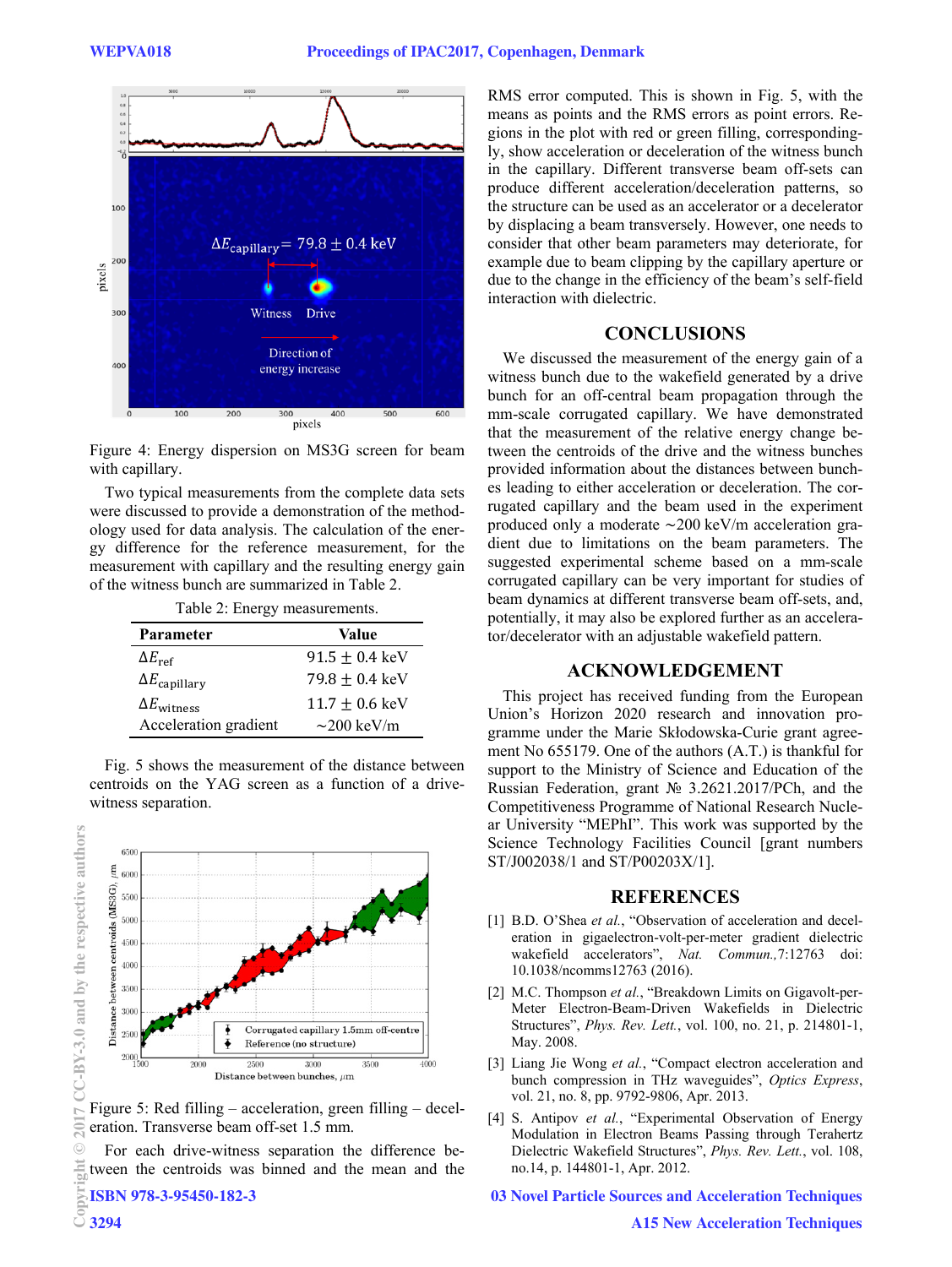

Figure 4: Energy dispersion on MS3G screen for beam with capillary.

Two typical measurements from the complete data sets were discussed to provide a demonstration of the methodology used for data analysis. The calculation of the energy difference for the reference measurement, for the measurement with capillary and the resulting energy gain of the witness bunch are summarized in Table 2.

Table 2: Energy measurements.

| Parameter                     | Value                      |
|-------------------------------|----------------------------|
| $\Delta E_{\text{ref}}$       | $91.5 \pm 0.4 \text{ keV}$ |
| $\Delta E_{\text{capillary}}$ | $79.8 \pm 0.4 \text{ keV}$ |
| $\Delta E_{\text{witness}}$   | $11.7 + 0.6 \text{ keV}$   |
| Acceleration gradient         | $\sim$ 200 keV/m           |

Fig. 5 shows the measurement of the distance between centroids on the YAG screen as a function of a drivewitness separation.



Figure 5: Red filling – acceleration, green filling – deceleration. Transverse beam off-set 1.5 mm.

For each drive-witness separation the difference between the centroids was binned and the mean and the  $\frac{1}{25}$  **ISBN 978-3-95450-182-3**<br>  $\frac{1}{2}$  3294

**ISBN 978-3-95450-182-3**

RMS error computed. This is shown in Fig. 5, with the means as points and the RMS errors as point errors. Regions in the plot with red or green filling, correspondingly, show acceleration or deceleration of the witness bunch in the capillary. Different transverse beam off-sets can produce different acceleration/deceleration patterns, so the structure can be used as an accelerator or a decelerator by displacing a beam transversely. However, one needs to consider that other beam parameters may deteriorate, for example due to beam clipping by the capillary aperture or due to the change in the efficiency of the beam's self-field interaction with dielectric.

#### **CONCLUSIONS**

We discussed the measurement of the energy gain of a witness bunch due to the wakefield generated by a drive bunch for an off-central beam propagation through the mm-scale corrugated capillary. We have demonstrated that the measurement of the relative energy change between the centroids of the drive and the witness bunches provided information about the distances between bunches leading to either acceleration or deceleration. The corrugated capillary and the beam used in the experiment produced only a moderate  $\sim$ 200 keV/m acceleration gradient due to limitations on the beam parameters. The suggested experimental scheme based on a mm-scale corrugated capillary can be very important for studies of beam dynamics at different transverse beam off-sets, and, potentially, it may also be explored further as an accelerator/decelerator with an adjustable wakefield pattern.

# **ACKNOWLEDGEMENT**

This project has received funding from the European Union's Horizon 2020 research and innovation programme under the Marie Skłodowska-Curie grant agreement No 655179. One of the authors (A.T.) is thankful for support to the Ministry of Science and Education of the Russian Federation, grant № 3.2621.2017/PCh, and the Competitiveness Programme of National Research Nuclear University "MEPhI". This work was supported by the Science Technology Facilities Council [grant numbers ST/J002038/1 and ST/P00203X/1].

#### **REFERENCES**

- [1] B.D. O'Shea *et al.*, "Observation of acceleration and deceleration in gigaelectron-volt-per-meter gradient dielectric wakefield accelerators", *Nat. Commun.,*7:12763 doi: 10.1038/ncomms12763 (2016).
- [2] M.C. Thompson *et al.*, "Breakdown Limits on Gigavolt-per-Meter Electron-Beam-Driven Wakefields in Dielectric Structures", *Phys. Rev. Lett.*, vol. 100, no. 21, p. 214801-1, May. 2008.
- [3] Liang Jie Wong *et al.*, "Compact electron acceleration and bunch compression in THz waveguides", *Optics Express*, vol. 21, no. 8, pp. 9792-9806, Apr. 2013.
- [4] S. Antipov *et al.*, "Experimental Observation of Energy Modulation in Electron Beams Passing through Terahertz Dielectric Wakefield Structures", *Phys. Rev. Lett.*, vol. 108, no.14, p. 144801-1, Apr. 2012.

**03 Novel Particle Sources and Acceleration Techniques**

**©**

 $\triangleright$  $\overline{20}$